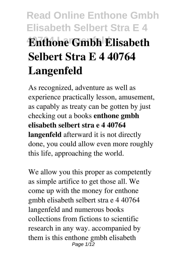# **Read Online Enthone Gmbh Elisabeth Selbert Stra E 4 40764 Langenfeld Enthone Gmbh Elisabeth Selbert Stra E 4 40764 Langenfeld**

As recognized, adventure as well as experience practically lesson, amusement, as capably as treaty can be gotten by just checking out a books **enthone gmbh elisabeth selbert stra e 4 40764 langenfeld** afterward it is not directly done, you could allow even more roughly this life, approaching the world.

We allow you this proper as competently as simple artifice to get those all. We come up with the money for enthone gmbh elisabeth selbert stra e 4 40764 langenfeld and numerous books collections from fictions to scientific research in any way. accompanied by them is this enthone gmbh elisabeth Page  $1/\overline{12}$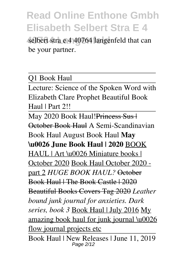selbert stra e 4 40764 langenfeld that can be your partner.

Q1 Book Haul

Lecture: Science of the Spoken Word with Elizabeth Clare Prophet Beautiful Book Haul | Part 2!!

May 2020 Book Haul! Princess Sus | October Book Haul A Semi-Scandinavian Book Haul August Book Haul **May \u0026 June Book Haul | 2020** BOOK HAUL | Art \u0026 Miniature books | October 2020 Book Haul October 2020 part 2 *HUGE BOOK HAUL?* October Book Haul | The Book Castle | 2020 Beautiful Books Covers Tag 2020 *Leather bound junk journal for anxieties. Dark series, book 3* Book Haul | July 2016 My amazing book haul for junk journal \u0026 flow journal projects etc.

Book Haul | New Releases | June 11, 2019 Page 2/12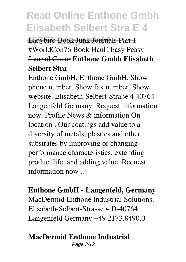**Ladybird Book Junk Journals Part 1** #WorldCon76 Book Haul! Easy Peasy Journal Cover **Enthone Gmbh Elisabeth Selbert Stra**

Enthone GmbH; Enthone GmbH. Show phone number. Show fax number. Show website. Elisabeth-Selbert-Straße 4 40764 Langenfeld Germany. Request information now. Profile News & information On location . Our coatings add value to a diversity of metals, plastics and other substrates by improving or changing performance characteristics, extending product life, and adding value. Request information now ...

**Enthone GmbH - Langenfeld, Germany** MacDermid Enthone Industrial Solutions. Elisabeth-Selbert-Strasse 4 D-40764 Langenfeld Germany +49 2173.8490.0

#### **MacDermid Enthone Industrial**

Page 3/12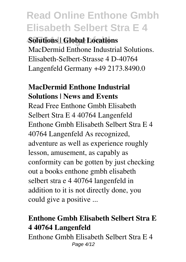### **40764 Langenfeld Solutions | Global Locations**

MacDermid Enthone Industrial Solutions. Elisabeth-Selbert-Strasse 4 D-40764 Langenfeld Germany +49 2173.8490.0

### **MacDermid Enthone Industrial Solutions | News and Events**

Read Free Enthone Gmbh Elisabeth Selbert Stra E 4 40764 Langenfeld Enthone Gmbh Elisabeth Selbert Stra E 4 40764 Langenfeld As recognized, adventure as well as experience roughly lesson, amusement, as capably as conformity can be gotten by just checking out a books enthone gmbh elisabeth selbert stra e 4 40764 langenfeld in addition to it is not directly done, you could give a positive ...

### **Enthone Gmbh Elisabeth Selbert Stra E 4 40764 Langenfeld**

Enthone Gmbh Elisabeth Selbert Stra E 4 Page 4/12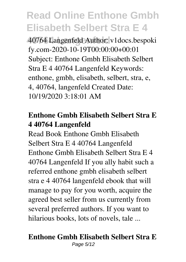**40764 Langenfeld** 40764 Langenfeld Author: v1docs.bespoki fy.com-2020-10-19T00:00:00+00:01 Subject: Enthone Gmbh Elisabeth Selbert Stra E 4 40764 Langenfeld Keywords: enthone, gmbh, elisabeth, selbert, stra, e, 4, 40764, langenfeld Created Date: 10/19/2020 3:18:01 AM

### **Enthone Gmbh Elisabeth Selbert Stra E 4 40764 Langenfeld**

Read Book Enthone Gmbh Elisabeth Selbert Stra E 4 40764 Langenfeld Enthone Gmbh Elisabeth Selbert Stra E 4 40764 Langenfeld If you ally habit such a referred enthone gmbh elisabeth selbert stra e 4 40764 langenfeld ebook that will manage to pay for you worth, acquire the agreed best seller from us currently from several preferred authors. If you want to hilarious books, lots of novels, tale ...

#### **Enthone Gmbh Elisabeth Selbert Stra E** Page 5/12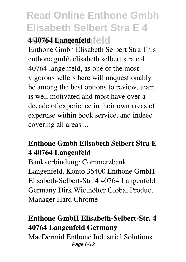**40764 Langenfeld 4 40764 Langenfeld**

Enthone Gmbh Elisabeth Selbert Stra This enthone gmbh elisabeth selbert stra e 4 40764 langenfeld, as one of the most vigorous sellers here will unquestionably be among the best options to review. team is well motivated and most have over a decade of experience in their own areas of expertise within book service, and indeed covering all areas ...

### **Enthone Gmbh Elisabeth Selbert Stra E 4 40764 Langenfeld**

Bankverbindung: Commerzbank Langenfeld, Konto 35400 Enthone GmbH Elisabeth-Selbert-Str. 4 40764 Langenfeld Germany Dirk Wiethölter Global Product Manager Hard Chrome

### **Enthone GmbH Elisabeth-Selbert-Str. 4 40764 Langenfeld Germany**

MacDermid Enthone Industrial Solutions. Page 6/12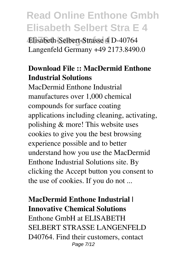**40764 Langenfeld** Elisabeth-Selbert-Strasse 4 D-40764 Langenfeld Germany +49 2173.8490.0

### **Download File :: MacDermid Enthone Industrial Solutions**

MacDermid Enthone Industrial manufactures over 1,000 chemical compounds for surface coating applications including cleaning, activating, polishing & more! This website uses cookies to give you the best browsing experience possible and to better understand how you use the MacDermid Enthone Industrial Solutions site. By clicking the Accept button you consent to the use of cookies. If you do not ...

**MacDermid Enthone Industrial | Innovative Chemical Solutions** Enthone GmbH at ELISABETH SELBERT STRASSE LANGENFELD D40764. Find their customers, contact Page 7/12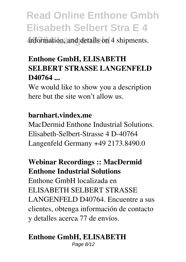information, and details on 4 shipments.

### **Enthone GmbH, ELISABETH SELBERT STRASSE LANGENFELD D40764 ...**

We would like to show you a description here but the site won't allow us.

#### **barnhart.vindex.me**

MacDermid Enthone Industrial Solutions. Elisabeth-Selbert-Strasse 4 D-40764 Langenfeld Germany +49 2173.8490.0

### **Webinar Recordings :: MacDermid Enthone Industrial Solutions** Enthone GmbH localizada en ELISABETH SELBERT STRASSE LANGENFELD D40764. Encuentre a sus clientes, obtenga información de contacto

y detalles acerca 77 de envíos.

### **Enthone GmbH, ELISABETH**

Page 8/12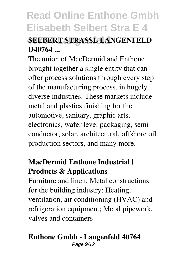### **40764 Langenfeld SELBERT STRASSE LANGENFELD D40764 ...**

The union of MacDermid and Enthone brought together a single entity that can offer process solutions through every step of the manufacturing process, in hugely diverse industries. These markets include metal and plastics finishing for the automotive, sanitary, graphic arts, electronics, wafer level packaging, semiconductor, solar, architectural, offshore oil production sectors, and many more.

### **MacDermid Enthone Industrial | Products & Applications**

Furniture and linen; Metal constructions for the building industry; Heating, ventilation, air conditioning (HVAC) and refrigeration equipment; Metal pipework, valves and containers

#### **Enthone Gmbh - Langenfeld 40764**

Page  $9/12$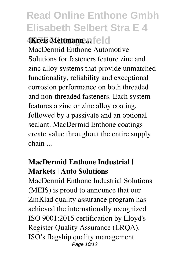**40764 Langenfeld (Kreis Mettmann ...**

MacDermid Enthone Automotive Solutions for fasteners feature zinc and zinc alloy systems that provide unmatched functionality, reliability and exceptional corrosion performance on both threaded and non-threaded fasteners. Each system features a zinc or zinc alloy coating, followed by a passivate and an optional sealant. MacDermid Enthone coatings create value throughout the entire supply chain ...

### **MacDermid Enthone Industrial | Markets | Auto Solutions**

MacDermid Enthone Industrial Solutions (MEIS) is proud to announce that our ZinKlad quality assurance program has achieved the internationally recognized ISO 9001:2015 certification by Lloyd's Register Quality Assurance (LRQA). ISO's flagship quality management Page 10/12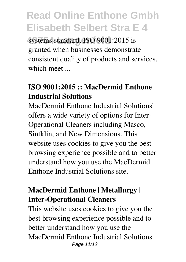systems standard, **ISO 9001:2015** is granted when businesses demonstrate consistent quality of products and services, which meet ...

### **ISO 9001:2015 :: MacDermid Enthone Industrial Solutions**

MacDermid Enthone Industrial Solutions' offers a wide variety of options for Inter-Operational Cleaners including Masco, Sintklin, and New Dimensions. This website uses cookies to give you the best browsing experience possible and to better understand how you use the MacDermid Enthone Industrial Solutions site.

### **MacDermid Enthone | Metallurgy | Inter-Operational Cleaners**

This website uses cookies to give you the best browsing experience possible and to better understand how you use the MacDermid Enthone Industrial Solutions Page 11/12